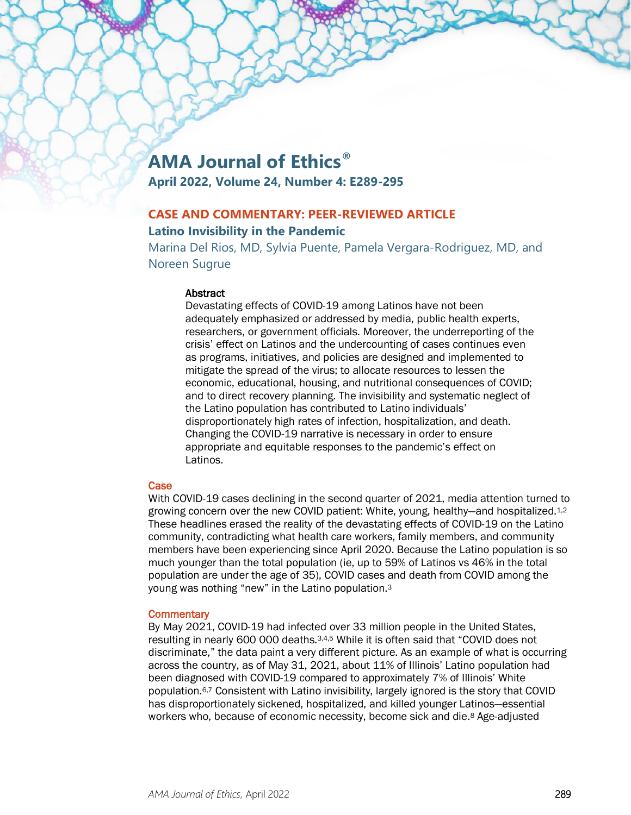# **AMA Journal of Ethics®**

**April 2022, Volume 24, Number 4: E289-295**

# **CASE AND COMMENTARY: PEER-REVIEWED ARTICLE Latino Invisibility in the Pandemic**

Marina Del Rios, MD, Sylvia Puente, Pamela Vergara-Rodriguez, MD, and Noreen Sugrue

## **Abstract**

Devastating effects of COVID-19 among Latinos have not been adequately emphasized or addressed by media, public health experts, researchers, or government officials. Moreover, the underreporting of the crisis' effect on Latinos and the undercounting of cases continues even as programs, initiatives, and policies are designed and implemented to mitigate the spread of the virus; to allocate resources to lessen the economic, educational, housing, and nutritional consequences of COVID; and to direct recovery planning. The invisibility and systematic neglect of the Latino population has contributed to Latino individuals' disproportionately high rates of infection, hospitalization, and death. Changing the COVID-19 narrative is necessary in order to ensure appropriate and equitable responses to the pandemic's effect on Latinos.

# **Case**

With COVID-19 cases declining in the second quarter of 2021, media attention turned to growing concern over the new COVID patient: White, young, healthy—and hospitalized.1,2 These headlines erased the reality of the devastating effects of COVID-19 on the Latino community, contradicting what health care workers, family members, and community members have been experiencing since April 2020. Because the Latino population is so much younger than the total population (ie, up to 59% of Latinos vs 46% in the total population are under the age of 35), COVID cases and death from COVID among the young was nothing "new" in the Latino population.3

## **Commentary**

By May 2021, COVID-19 had infected over 33 million people in the United States, resulting in nearly 600 000 deaths.3,4,5 While it is often said that "COVID does not discriminate," the data paint a very different picture. As an example of what is occurring across the country, as of May 31, 2021, about 11% of Illinois' Latino population had been diagnosed with COVID-19 compared to approximately 7% of Illinois' White population.6,7 Consistent with Latino invisibility, largely ignored is the story that COVID has disproportionately sickened, hospitalized, and killed younger Latinos—essential workers who, because of economic necessity, become sick and die.8 Age-adjusted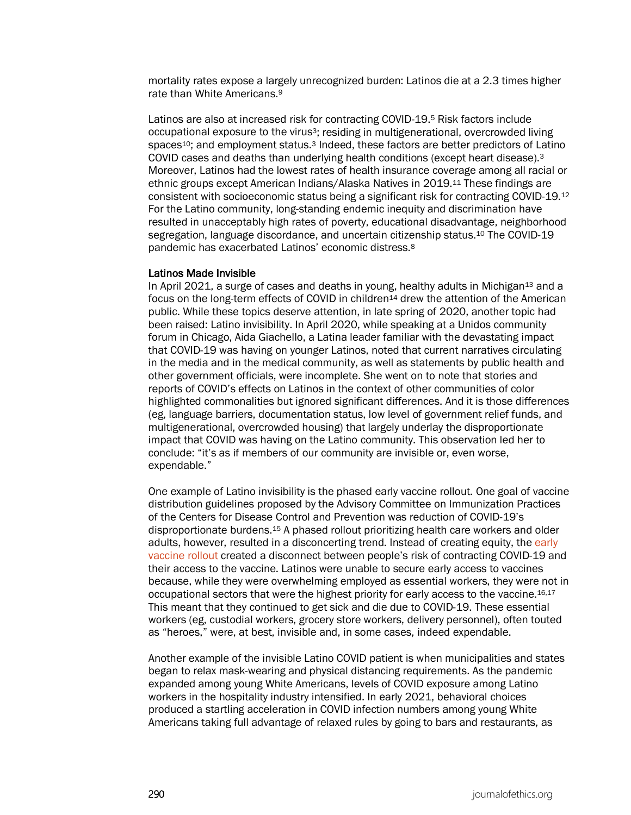mortality rates expose a largely unrecognized burden: Latinos die at a 2.3 times higher rate than White Americans.9

Latinos are also at increased risk for contracting COVID-19.5 Risk factors include occupational exposure to the virus<sup>3</sup>; residing in multigenerational, overcrowded living spaces<sup>10</sup>; and employment status.<sup>3</sup> Indeed, these factors are better predictors of Latino COVID cases and deaths than underlying health conditions (except heart disease).3 Moreover, Latinos had the lowest rates of health insurance coverage among all racial or ethnic groups except American Indians/Alaska Natives in 2019.11 These findings are consistent with socioeconomic status being a significant risk for contracting COVID-19.12 For the Latino community, long-standing endemic inequity and discrimination have resulted in unacceptably high rates of poverty, educational disadvantage, neighborhood segregation, language discordance, and uncertain citizenship status.10 The COVID-19 pandemic has exacerbated Latinos' economic distress.8

## Latinos Made Invisible

In April 2021, a surge of cases and deaths in young, healthy adults in Michigan $13$  and a focus on the long-term effects of COVID in children<sup>14</sup> drew the attention of the American public. While these topics deserve attention, in late spring of 2020, another topic had been raised: Latino invisibility. In April 2020, while speaking at a Unidos community forum in Chicago, Aida Giachello, a Latina leader familiar with the devastating impact that COVID-19 was having on younger Latinos, noted that current narratives circulating in the media and in the medical community, as well as statements by public health and other government officials, were incomplete. She went on to note that stories and reports of COVID's effects on Latinos in the context of other communities of color highlighted commonalities but ignored significant differences. And it is those differences (eg, language barriers, documentation status, low level of government relief funds, and multigenerational, overcrowded housing) that largely underlay the disproportionate impact that COVID was having on the Latino community. This observation led her to conclude: "it's as if members of our community are invisible or, even worse, expendable."

One example of Latino invisibility is the phased early vaccine rollout. One goal of vaccine distribution guidelines proposed by the Advisory Committee on Immunization Practices of the Centers for Disease Control and Prevention was reduction of COVID-19's disproportionate burdens.15 A phased rollout prioritizing health care workers and older adults, however, resulted in a disconcerting trend. Instead of creating equity, the [early](https://journalofethics.ama-assn.org/videocast/ethics-talk-equitable-allocation-sars-cov-2-vaccine)  [vaccine rollout](https://journalofethics.ama-assn.org/videocast/ethics-talk-equitable-allocation-sars-cov-2-vaccine) created a disconnect between people's risk of contracting COVID-19 and their access to the vaccine. Latinos were unable to secure early access to vaccines because, while they were overwhelming employed as essential workers, they were not in occupational sectors that were the highest priority for early access to the vaccine.16,17 This meant that they continued to get sick and die due to COVID-19. These essential workers (eg, custodial workers, grocery store workers, delivery personnel), often touted as "heroes," were, at best, invisible and, in some cases, indeed expendable.

Another example of the invisible Latino COVID patient is when municipalities and states began to relax mask-wearing and physical distancing requirements. As the pandemic expanded among young White Americans, levels of COVID exposure among Latino workers in the hospitality industry intensified. In early 2021, behavioral choices produced a startling acceleration in COVID infection numbers among young White Americans taking full advantage of relaxed rules by going to bars and restaurants, as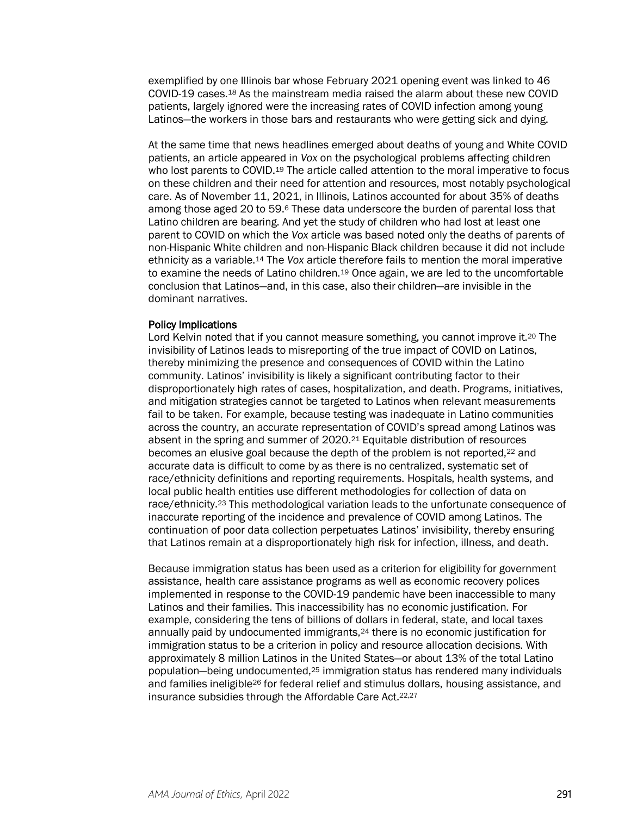exemplified by one Illinois bar whose February 2021 opening event was linked to 46 COVID-19 cases.18 As the mainstream media raised the alarm about these new COVID patients, largely ignored were the increasing rates of COVID infection among young Latinos—the workers in those bars and restaurants who were getting sick and dying.

At the same time that news headlines emerged about deaths of young and White COVID patients, an article appeared in *Vox* on the psychological problems affecting children who lost parents to COVID.19 The article called attention to the moral imperative to focus on these children and their need for attention and resources, most notably psychological care. As of November 11, 2021, in Illinois, Latinos accounted for about 35% of deaths among those aged 20 to 59.6 These data underscore the burden of parental loss that Latino children are bearing. And yet the study of children who had lost at least one parent to COVID on which the *Vox* article was based noted only the deaths of parents of non-Hispanic White children and non-Hispanic Black children because it did not include ethnicity as a variable.14 The *Vox* article therefore fails to mention the moral imperative to examine the needs of Latino children.19 Once again, we are led to the uncomfortable conclusion that Latinos—and, in this case, also their children—are invisible in the dominant narratives.

#### Policy Implications

Lord Kelvin noted that if you cannot measure something, you cannot improve it.<sup>20</sup> The invisibility of Latinos leads to misreporting of the true impact of COVID on Latinos, thereby minimizing the presence and consequences of COVID within the Latino community. Latinos' invisibility is likely a significant contributing factor to their disproportionately high rates of cases, hospitalization, and death. Programs, initiatives, and mitigation strategies cannot be targeted to Latinos when relevant measurements fail to be taken. For example, because testing was inadequate in Latino communities across the country, an accurate representation of COVID's spread among Latinos was absent in the spring and summer of 2020.21 Equitable distribution of resources becomes an elusive goal because the depth of the problem is not reported,<sup>22</sup> and accurate data is difficult to come by as there is no centralized, systematic set of race/ethnicity definitions and reporting requirements. Hospitals, health systems, and local public health entities use different methodologies for collection of data on race/ethnicity.23 This methodological variation leads to the unfortunate consequence of inaccurate reporting of the incidence and prevalence of COVID among Latinos. The continuation of poor data collection perpetuates Latinos' invisibility, thereby ensuring that Latinos remain at a disproportionately high risk for infection, illness, and death.

Because immigration status has been used as a criterion for eligibility for government assistance, health care assistance programs as well as economic recovery polices implemented in response to the COVID-19 pandemic have been inaccessible to many Latinos and their families. This inaccessibility has no economic justification. For example, considering the tens of billions of dollars in federal, state, and local taxes annually paid by undocumented immigrants,<sup>24</sup> there is no economic justification for immigration status to be a criterion in policy and resource allocation decisions. With approximately 8 million Latinos in the United States—or about 13% of the total Latino population—being undocumented,25 immigration status has rendered many individuals and families ineligible26 for federal relief and stimulus dollars, housing assistance, and insurance subsidies through the Affordable Care Act.22,27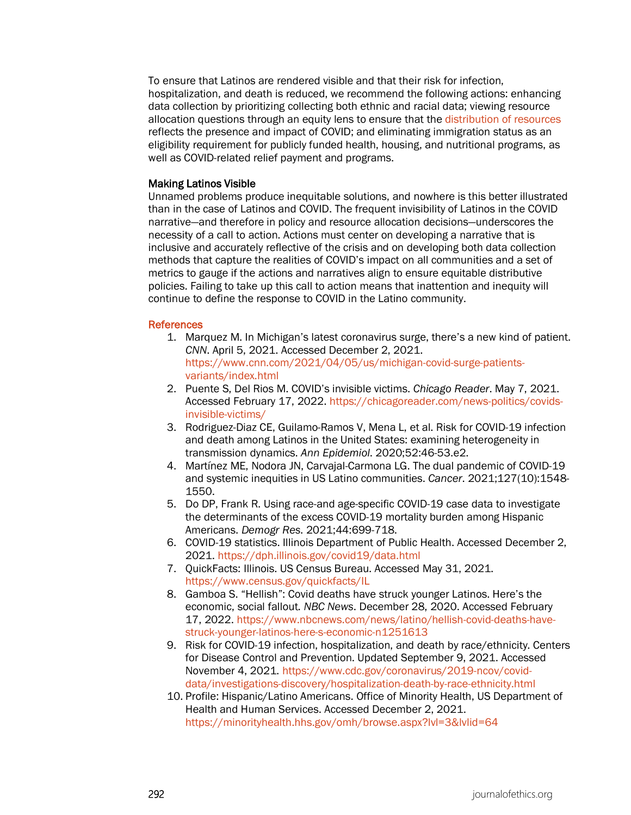To ensure that Latinos are rendered visible and that their risk for infection, hospitalization, and death is reduced, we recommend the following actions: enhancing data collection by prioritizing collecting both ethnic and racial data; viewing resource allocation questions through an equity lens to ensure that the [distribution of resources](https://journalofethics.ama-assn.org/article/allocating-scarce-resources-pandemic-ethical-and-public-policy-dimensions/2006-04) reflects the presence and impact of COVID; and eliminating immigration status as an eligibility requirement for publicly funded health, housing, and nutritional programs, as well as COVID-related relief payment and programs.

## Making Latinos Visible

Unnamed problems produce inequitable solutions, and nowhere is this better illustrated than in the case of Latinos and COVID. The frequent invisibility of Latinos in the COVID narrative—and therefore in policy and resource allocation decisions—underscores the necessity of a call to action. Actions must center on developing a narrative that is inclusive and accurately reflective of the crisis and on developing both data collection methods that capture the realities of COVID's impact on all communities and a set of metrics to gauge if the actions and narratives align to ensure equitable distributive policies. Failing to take up this call to action means that inattention and inequity will continue to define the response to COVID in the Latino community.

## References

- 1. Marquez M. In Michigan's latest coronavirus surge, there's a new kind of patient. *CNN*. April 5, 2021. Accessed December 2, 2021. [https://www.cnn.com/2021/04/05/us/michigan-covid-surge-patients](https://www.cnn.com/2021/04/05/us/michigan-covid-surge-patients-variants/index.html)[variants/index.html](https://www.cnn.com/2021/04/05/us/michigan-covid-surge-patients-variants/index.html)
- 2. Puente S, Del Rios M. COVID's invisible victims. *Chicago Reader*. May 7, 2021. Accessed February 17, 2022[. https://chicagoreader.com/news-politics/covids](https://chicagoreader.com/news-politics/covids-invisible-victims/)[invisible-victims/](https://chicagoreader.com/news-politics/covids-invisible-victims/)
- 3. Rodriguez-Diaz CE, Guilamo-Ramos V, Mena L, et al. Risk for COVID-19 infection and death among Latinos in the United States: examining heterogeneity in transmission dynamics. *Ann Epidemiol*. 2020;52:46-53.e2.
- 4. Martínez ME, Nodora JN, Carvajal-Carmona LG. The dual pandemic of COVID-19 and systemic inequities in US Latino communities. *Cancer*. 2021;127(10):1548- 1550.
- 5. Do DP, Frank R. Using race-and age-specific COVID-19 case data to investigate the determinants of the excess COVID-19 mortality burden among Hispanic Americans. *Demogr Res*. 2021;44:699-718.
- 6. COVID-19 statistics. Illinois Department of Public Health. Accessed December 2, 2021.<https://dph.illinois.gov/covid19/data.html>
- 7. QuickFacts: Illinois. US Census Bureau. Accessed May 31, 2021. <https://www.census.gov/quickfacts/IL>
- 8. Gamboa S. "Hellish": Covid deaths have struck younger Latinos. Here's the economic, social fallout. *NBC News*. December 28, 2020. Accessed February 17, 2022[. https://www.nbcnews.com/news/latino/hellish-covid-deaths-have](https://www.nbcnews.com/news/latino/hellish-covid-deaths-have-struck-younger-latinos-here-s-economic-n1251613)[struck-younger-latinos-here-s-economic-n1251613](https://www.nbcnews.com/news/latino/hellish-covid-deaths-have-struck-younger-latinos-here-s-economic-n1251613)
- 9. Risk for COVID-19 infection, hospitalization, and death by race/ethnicity. Centers for Disease Control and Prevention. Updated September 9, 2021. Accessed November 4, 2021. [https://www.cdc.gov/coronavirus/2019-ncov/covid](https://www.cdc.gov/coronavirus/2019-ncov/covid-data/investigations-discovery/hospitalization-death-by-race-ethnicity.html)[data/investigations-discovery/hospitalization-death-by-race-ethnicity.html](https://www.cdc.gov/coronavirus/2019-ncov/covid-data/investigations-discovery/hospitalization-death-by-race-ethnicity.html)
- 10. Profile: Hispanic/Latino Americans. Office of Minority Health, US Department of Health and Human Services. Accessed December 2, 2021. <https://minorityhealth.hhs.gov/omh/browse.aspx?lvl=3&lvlid=64>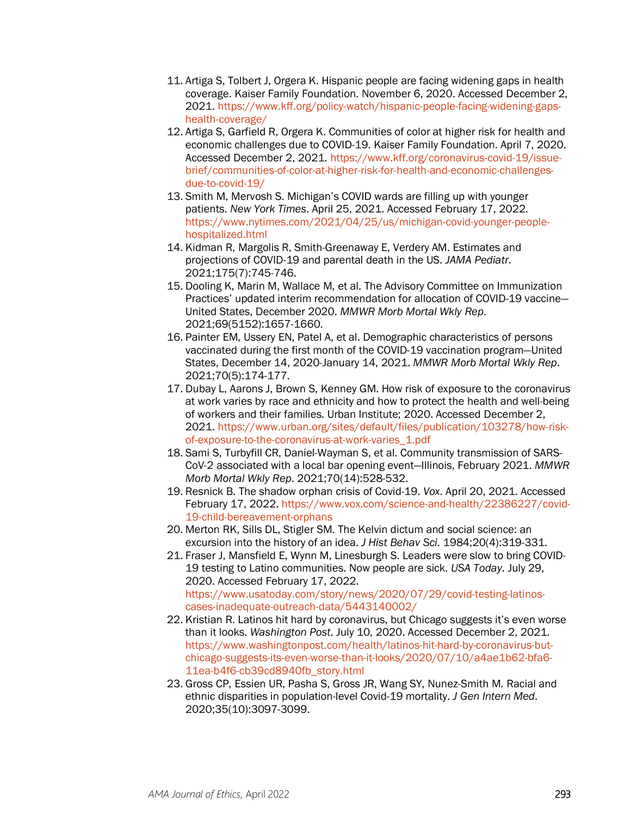- 11. Artiga S, Tolbert J, Orgera K. Hispanic people are facing widening gaps in health coverage. Kaiser Family Foundation. November 6, 2020. Accessed December 2, 2021. [https://www.kff.org/policy-watch/hispanic-people-facing-widening-gaps](https://www.kff.org/policy-watch/hispanic-people-facing-widening-gaps-health-coverage/)[health-coverage/](https://www.kff.org/policy-watch/hispanic-people-facing-widening-gaps-health-coverage/)
- 12. Artiga S, Garfield R, Orgera K. Communities of color at higher risk for health and economic challenges due to COVID-19. Kaiser Family Foundation. April 7, 2020. Accessed December 2, 2021. [https://www.kff.org/coronavirus-covid-19/issue](https://www.kff.org/coronavirus-covid-19/issue-brief/communities-of-color-at-higher-risk-for-health-and-economic-challenges-due-to-covid-19/)[brief/communities-of-color-at-higher-risk-for-health-and-economic-challenges](https://www.kff.org/coronavirus-covid-19/issue-brief/communities-of-color-at-higher-risk-for-health-and-economic-challenges-due-to-covid-19/)[due-to-covid-19/](https://www.kff.org/coronavirus-covid-19/issue-brief/communities-of-color-at-higher-risk-for-health-and-economic-challenges-due-to-covid-19/)
- 13. Smith M, Mervosh S. Michigan's COVID wards are filling up with younger patients. *New York Times*. April 25, 2021. Accessed February 17, 2022. [https://www.nytimes.com/2021/04/25/us/michigan-covid-younger-people](https://www.nytimes.com/2021/04/25/us/michigan-covid-younger-people-hospitalized.html)[hospitalized.html](https://www.nytimes.com/2021/04/25/us/michigan-covid-younger-people-hospitalized.html)
- 14. Kidman R, Margolis R, Smith-Greenaway E, Verdery AM. Estimates and projections of COVID-19 and parental death in the US. *JAMA Pediatr*. 2021;175(7):745-746.
- 15. Dooling K, Marin M, Wallace M, et al. The Advisory Committee on Immunization Practices' updated interim recommendation for allocation of COVID-19 vaccine— United States, December 2020. *MMWR Morb Mortal Wkly Rep*. 2021;69(5152):1657-1660.
- 16. Painter EM, Ussery EN, Patel A, et al. Demographic characteristics of persons vaccinated during the first month of the COVID-19 vaccination program—United States, December 14, 2020-January 14, 2021. *MMWR Morb Mortal Wkly Rep*. 2021;70(5):174-177.
- 17. Dubay L, Aarons J, Brown S, Kenney GM. How risk of exposure to the coronavirus at work varies by race and ethnicity and how to protect the health and well-being of workers and their families. Urban Institute; 2020. Accessed December 2, 2021. [https://www.urban.org/sites/default/files/publication/103278/how-risk](https://www.urban.org/sites/default/files/publication/103278/how-risk-of-exposure-to-the-coronavirus-at-work-varies_1.pdf)[of-exposure-to-the-coronavirus-at-work-varies\\_1.pdf](https://www.urban.org/sites/default/files/publication/103278/how-risk-of-exposure-to-the-coronavirus-at-work-varies_1.pdf)
- 18. Sami S, Turbyfill CR, Daniel-Wayman S, et al. Community transmission of SARS-CoV-2 associated with a local bar opening event—Illinois, February 2021. *MMWR Morb Mortal Wkly Rep*. 2021;70(14):528-532.
- 19. Resnick B. The shadow orphan crisis of Covid-19. *Vox*. April 20, 2021. Accessed February 17, 2022. [https://www.vox.com/science-and-health/22386227/covid-](https://www.vox.com/science-and-health/22386227/covid-19-child-bereavement-orphans)[19-child-bereavement-orphans](https://www.vox.com/science-and-health/22386227/covid-19-child-bereavement-orphans)
- 20. Merton RK, Sills DL, Stigler SM. The Kelvin dictum and social science: an excursion into the history of an idea. *J Hist Behav Sci*. 1984;20(4):319-331.
- 21. Fraser J, Mansfield E, Wynn M, Linesburgh S. Leaders were slow to bring COVID-19 testing to Latino communities. Now people are sick. *USA Today*. July 29, 2020. Accessed February 17, 2022. [https://www.usatoday.com/story/news/2020/07/29/covid-testing-latinos](https://www.usatoday.com/story/news/2020/07/29/covid-testing-latinos-cases-inadequate-outreach-data/5443140002/)[cases-inadequate-outreach-data/5443140002/](https://www.usatoday.com/story/news/2020/07/29/covid-testing-latinos-cases-inadequate-outreach-data/5443140002/)
- 22. Kristian R. Latinos hit hard by coronavirus, but Chicago suggests it's even worse than it looks. *Washington Post*. July 10, 2020. Accessed December 2, 2021. [https://www.washingtonpost.com/health/latinos-hit-hard-by-coronavirus-but](https://www.washingtonpost.com/health/latinos-hit-hard-by-coronavirus-but-chicago-suggests-its-even-worse-than-it-looks/2020/07/10/a4ae1b62-bfa6-11ea-b4f6-cb39cd8940fb_story.html)[chicago-suggests-its-even-worse-than-it-looks/2020/07/10/a4ae1b62-bfa6-](https://www.washingtonpost.com/health/latinos-hit-hard-by-coronavirus-but-chicago-suggests-its-even-worse-than-it-looks/2020/07/10/a4ae1b62-bfa6-11ea-b4f6-cb39cd8940fb_story.html) [11ea-b4f6-cb39cd8940fb\\_story.html](https://www.washingtonpost.com/health/latinos-hit-hard-by-coronavirus-but-chicago-suggests-its-even-worse-than-it-looks/2020/07/10/a4ae1b62-bfa6-11ea-b4f6-cb39cd8940fb_story.html)
- 23. Gross CP, Essien UR, Pasha S, Gross JR, Wang SY, Nunez-Smith M. Racial and ethnic disparities in population-level Covid-19 mortality. *J Gen Intern Med*. 2020;35(10):3097-3099.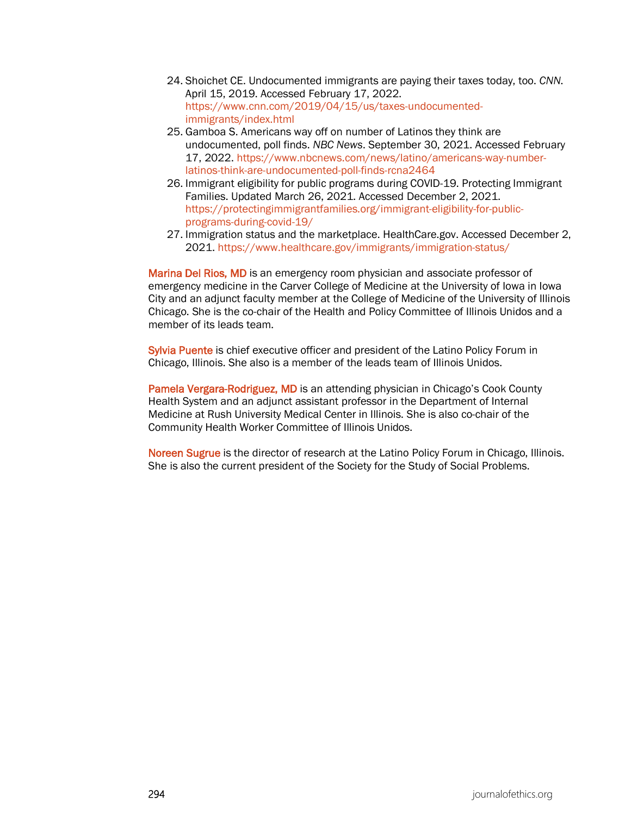- 24. Shoichet CE. Undocumented immigrants are paying their taxes today, too. *CNN*. April 15, 2019. Accessed February 17, 2022. [https://www.cnn.com/2019/04/15/us/taxes-undocumented](https://www.cnn.com/2019/04/15/us/taxes-undocumented-immigrants/index.html)[immigrants/index.html](https://www.cnn.com/2019/04/15/us/taxes-undocumented-immigrants/index.html)
- 25. Gamboa S. Americans way off on number of Latinos they think are undocumented, poll finds. *NBC News*. September 30, 2021. Accessed February 17, 2022[. https://www.nbcnews.com/news/latino/americans-way-number](https://www.nbcnews.com/news/latino/americans-way-number-latinos-think-are-undocumented-poll-finds-rcna2464)[latinos-think-are-undocumented-poll-finds-rcna2464](https://www.nbcnews.com/news/latino/americans-way-number-latinos-think-are-undocumented-poll-finds-rcna2464)
- 26. Immigrant eligibility for public programs during COVID-19. Protecting Immigrant Families. Updated March 26, 2021. Accessed December 2, 2021. [https://protectingimmigrantfamilies.org/immigrant-eligibility-for-public](https://protectingimmigrantfamilies.org/immigrant-eligibility-for-public-programs-during-covid-19/)[programs-during-covid-19/](https://protectingimmigrantfamilies.org/immigrant-eligibility-for-public-programs-during-covid-19/)
- 27. Immigration status and the marketplace. HealthCare.gov. Accessed December 2, 2021.<https://www.healthcare.gov/immigrants/immigration-status/>

Marina Del Rios, MD is an emergency room physician and associate professor of emergency medicine in the Carver College of Medicine at the University of Iowa in Iowa City and an adjunct faculty member at the College of Medicine of the University of Illinois Chicago. She is the co-chair of the Health and Policy Committee of Illinois Unidos and a member of its leads team.

Sylvia Puente is chief executive officer and president of the Latino Policy Forum in Chicago, Illinois. She also is a member of the leads team of Illinois Unidos.

Pamela Vergara-Rodriguez, MD is an attending physician in Chicago's Cook County Health System and an adjunct assistant professor in the Department of Internal Medicine at Rush University Medical Center in Illinois. She is also co-chair of the Community Health Worker Committee of Illinois Unidos.

Noreen Sugrue is the director of research at the Latino Policy Forum in Chicago, Illinois. She is also the current president of the Society for the Study of Social Problems.